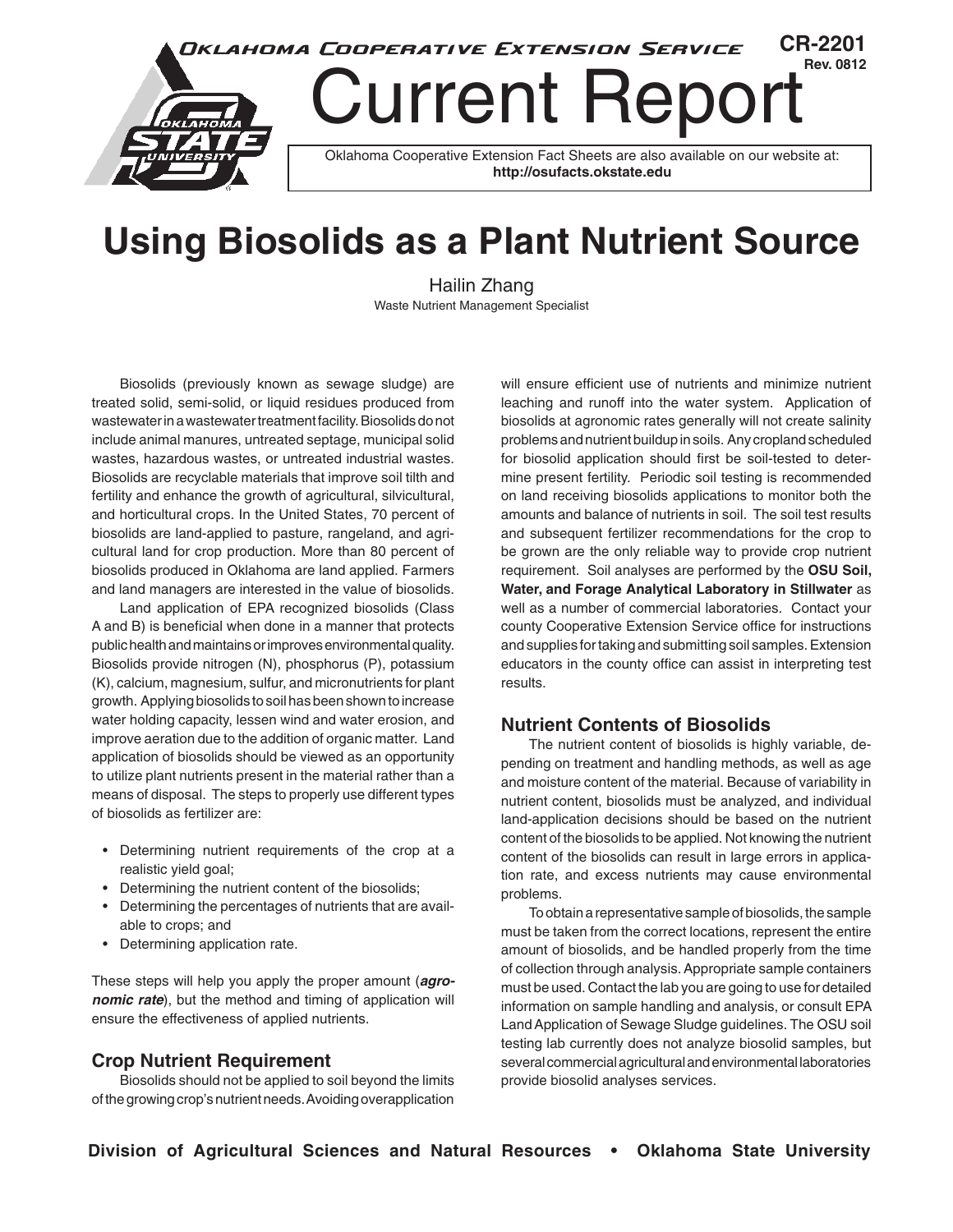

# **Rev. 0812** Current Report

Oklahoma Cooperative Extension Fact Sheets are also available on our website at: **http://osufacts.okstate.edu**

# **Using Biosolids as a Plant Nutrient Source**

Hailin Zhang Waste Nutrient Management Specialist

Biosolids (previously known as sewage sludge) are treated solid, semi-solid, or liquid residues produced from wastewater in a wastewater treatment facility. Biosolids do not include animal manures, untreated septage, municipal solid wastes, hazardous wastes, or untreated industrial wastes. Biosolids are recyclable materials that improve soil tilth and fertility and enhance the growth of agricultural, silvicultural, and horticultural crops. In the United States, 70 percent of biosolids are land-applied to pasture, rangeland, and agricultural land for crop production. More than 80 percent of biosolids produced in Oklahoma are land applied. Farmers and land managers are interested in the value of biosolids.

Land application of EPA recognized biosolids (Class A and B) is beneficial when done in a manner that protects public health and maintains or improves environmental quality. Biosolids provide nitrogen (N), phosphorus (P), potassium (K), calcium, magnesium, sulfur, and micronutrients for plant growth. Applying biosolids to soil has been shown to increase water holding capacity, lessen wind and water erosion, and improve aeration due to the addition of organic matter. Land application of biosolids should be viewed as an opportunity to utilize plant nutrients present in the material rather than a means of disposal. The steps to properly use different types of biosolids as fertilizer are:

- • Determining nutrient requirements of the crop at a realistic yield goal;
- Determining the nutrient content of the biosolids;
- • Determining the percentages of nutrients that are available to crops; and
- Determining application rate.

These steps will help you apply the proper amount (*agronomic rate*), but the method and timing of application will ensure the effectiveness of applied nutrients.

#### **Crop Nutrient Requirement**

Biosolids should not be applied to soil beyond the limits of the growing crop's nutrient needs. Avoiding overapplication

will ensure efficient use of nutrients and minimize nutrient leaching and runoff into the water system. Application of biosolids at agronomic rates generally will not create salinity problems and nutrient buildup in soils. Any cropland scheduled for biosolid application should first be soil-tested to determine present fertility. Periodic soil testing is recommended on land receiving biosolids applications to monitor both the amounts and balance of nutrients in soil. The soil test results and subsequent fertilizer recommendations for the crop to be grown are the only reliable way to provide crop nutrient requirement. Soil analyses are performed by the **OSU Soil, Water, and Forage Analytical Laboratory in Stillwater** as well as a number of commercial laboratories. Contact your county Cooperative Extension Service office for instructions and supplies for taking and submitting soil samples. Extension educators in the county office can assist in interpreting test results.

**CR-2201**

### **Nutrient Contents of Biosolids**

The nutrient content of biosolids is highly variable, depending on treatment and handling methods, as well as age and moisture content of the material. Because of variability in nutrient content, biosolids must be analyzed, and individual land-application decisions should be based on the nutrient content of the biosolids to be applied. Not knowing the nutrient content of the biosolids can result in large errors in application rate, and excess nutrients may cause environmental problems.

To obtain a representative sample of biosolids, the sample must be taken from the correct locations, represent the entire amount of biosolids, and be handled properly from the time of collection through analysis. Appropriate sample containers must be used. Contact the lab you are going to use for detailed information on sample handling and analysis, or consult EPA Land Application of Sewage Sludge guidelines. The OSU soil testing lab currently does not analyze biosolid samples, but several commercial agricultural and environmental laboratories provide biosolid analyses services.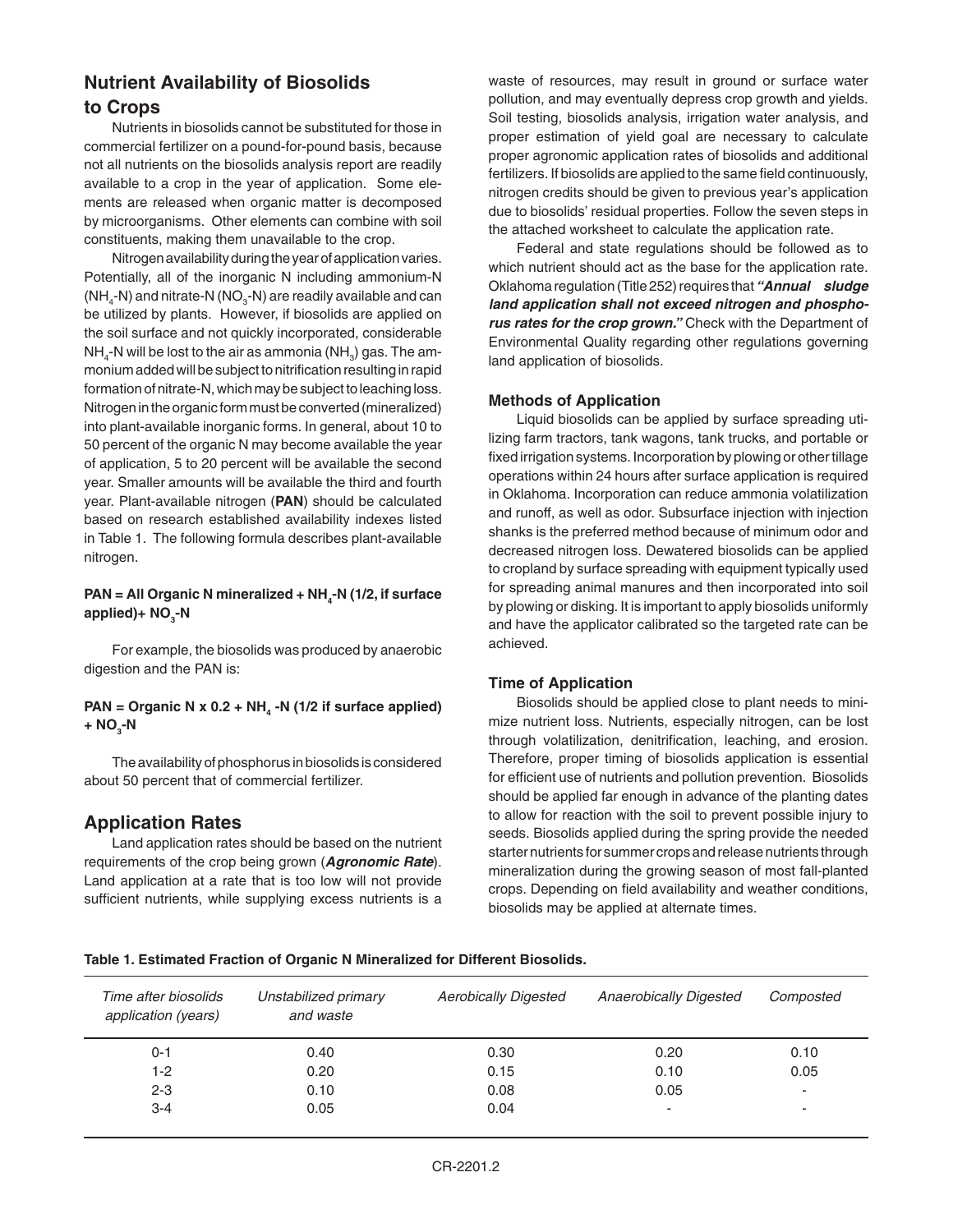## **Nutrient Availability of Biosolids to Crops**

Nutrients in biosolids cannot be substituted for those in commercial fertilizer on a pound-for-pound basis, because not all nutrients on the biosolids analysis report are readily available to a crop in the year of application. Some elements are released when organic matter is decomposed by microorganisms. Other elements can combine with soil constituents, making them unavailable to the crop.

Nitrogen availability during the year of application varies. Potentially, all of the inorganic N including ammonium-N (NH $_4$ -N) and nitrate-N (NO $_3$ -N) are readily available and can be utilized by plants. However, if biosolids are applied on the soil surface and not quickly incorporated, considerable NH $_{\textrm{\tiny{4}}}$ -N will be lost to the air as ammonia (NH $_{\textrm{\tiny{3}}})$  gas. The ammonium added will be subject to nitrification resulting in rapid formation of nitrate-N, which may be subject to leaching loss. Nitrogen in the organic form must be converted (mineralized) into plant-available inorganic forms. In general, about 10 to 50 percent of the organic N may become available the year of application, 5 to 20 percent will be available the second year. Smaller amounts will be available the third and fourth year. Plant-available nitrogen (**PAN**) should be calculated based on research established availability indexes listed in Table 1. The following formula describes plant-available nitrogen.

#### PAN = All Organic N mineralized + NH<sub>4</sub>-N (1/2, if surface applied)+ NO<sub>3</sub>-N

For example, the biosolids was produced by anaerobic digestion and the PAN is:

#### PAN = Organic N x 0.2 + NH<sub>4</sub> -N (1/2 if surface applied) **+ NO<sup>3</sup> -N**

The availability of phosphorus in biosolids is considered about 50 percent that of commercial fertilizer.

### **Application Rates**

Land application rates should be based on the nutrient requirements of the crop being grown (*Agronomic Rate*). Land application at a rate that is too low will not provide sufficient nutrients, while supplying excess nutrients is a waste of resources, may result in ground or surface water pollution, and may eventually depress crop growth and yields. Soil testing, biosolids analysis, irrigation water analysis, and proper estimation of yield goal are necessary to calculate proper agronomic application rates of biosolids and additional fertilizers. If biosolids are applied to the same field continuously, nitrogen credits should be given to previous year's application due to biosolids' residual properties. Follow the seven steps in the attached worksheet to calculate the application rate.

Federal and state regulations should be followed as to which nutrient should act as the base for the application rate. Oklahoma regulation (Title 252) requires that *"Annual sludge land application shall not exceed nitrogen and phosphorus rates for the crop grown."* Check with the Department of Environmental Quality regarding other regulations governing land application of biosolids.

#### **Methods of Application**

Liquid biosolids can be applied by surface spreading utilizing farm tractors, tank wagons, tank trucks, and portable or fixed irrigation systems. Incorporation by plowing or other tillage operations within 24 hours after surface application is required in Oklahoma. Incorporation can reduce ammonia volatilization and runoff, as well as odor. Subsurface injection with injection shanks is the preferred method because of minimum odor and decreased nitrogen loss. Dewatered biosolids can be applied to cropland by surface spreading with equipment typically used for spreading animal manures and then incorporated into soil by plowing or disking. It is important to apply biosolids uniformly and have the applicator calibrated so the targeted rate can be achieved.

#### **Time of Application**

Biosolids should be applied close to plant needs to minimize nutrient loss. Nutrients, especially nitrogen, can be lost through volatilization, denitrification, leaching, and erosion. Therefore, proper timing of biosolids application is essential for efficient use of nutrients and pollution prevention. Biosolids should be applied far enough in advance of the planting dates to allow for reaction with the soil to prevent possible injury to seeds. Biosolids applied during the spring provide the needed starter nutrients for summer crops and release nutrients through mineralization during the growing season of most fall-planted crops. Depending on field availability and weather conditions, biosolids may be applied at alternate times.

|  |  |  |  | Table 1. Estimated Fraction of Organic N Mineralized for Different Biosolids. |  |  |
|--|--|--|--|-------------------------------------------------------------------------------|--|--|
|--|--|--|--|-------------------------------------------------------------------------------|--|--|

| Time after biosolids<br>application (years) | Unstabilized primary<br>and waste | <b>Aerobically Digested</b> | <b>Anaerobically Digested</b> | Composted                |
|---------------------------------------------|-----------------------------------|-----------------------------|-------------------------------|--------------------------|
| $0 - 1$                                     | 0.40                              | 0.30                        | 0.20                          | 0.10                     |
| $1-2$                                       | 0.20                              | 0.15                        | 0.10                          | 0.05                     |
| $2 - 3$                                     | 0.10                              | 0.08                        | 0.05                          | $\overline{\phantom{a}}$ |
| $3 - 4$                                     | 0.05                              | 0.04                        | ٠                             | -                        |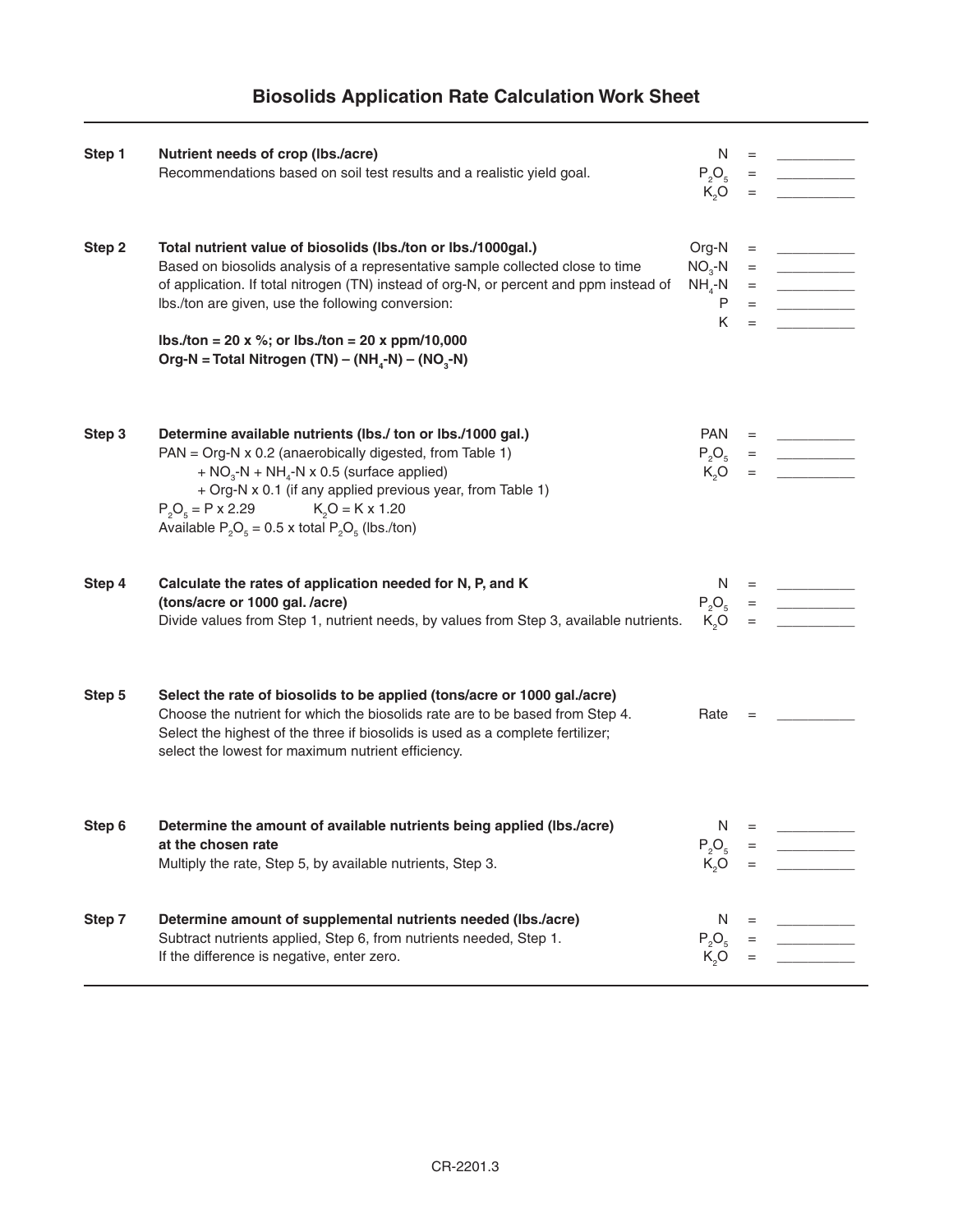# **Biosolids Application Rate Calculation Work Sheet**

| Step 1 | Nutrient needs of crop (lbs./acre)<br>Recommendations based on soil test results and a realistic yield goal.                                                                                                                                                                                                                                                                                                                    | N<br>$P_2O_5$<br>$K_0$ O                        | $=$ $\qquad$                                                  |                                                                                                                                                                                                                                                                                                                                                                                                                                                                                    |
|--------|---------------------------------------------------------------------------------------------------------------------------------------------------------------------------------------------------------------------------------------------------------------------------------------------------------------------------------------------------------------------------------------------------------------------------------|-------------------------------------------------|---------------------------------------------------------------|------------------------------------------------------------------------------------------------------------------------------------------------------------------------------------------------------------------------------------------------------------------------------------------------------------------------------------------------------------------------------------------------------------------------------------------------------------------------------------|
| Step 2 | Total nutrient value of biosolids (lbs./ton or lbs./1000gal.)<br>Based on biosolids analysis of a representative sample collected close to time<br>of application. If total nitrogen (TN) instead of org-N, or percent and ppm instead of<br>Ibs./ton are given, use the following conversion:<br>lbs./ton = 20 x %; or lbs./ton = 20 x ppm/10,000<br>Org-N = Total Nitrogen (TN) – (NH <sub>4</sub> -N) – (NO <sub>3</sub> -N) | Org-N<br>$NO3-N$<br>$NH_{4}$ -N<br>$\sf P$<br>K | $=$<br>$=$<br>$\begin{array}{c} \equiv \\ \equiv \end{array}$ |                                                                                                                                                                                                                                                                                                                                                                                                                                                                                    |
| Step 3 | Determine available nutrients (lbs./ ton or lbs./1000 gal.)<br>PAN = Org-N x 0.2 (anaerobically digested, from Table 1)<br>+ $NO3$ -N + NH <sub>4</sub> -N x 0.5 (surface applied)<br>+ Org-N x 0.1 (if any applied previous year, from Table 1)<br>$P_2O_5 = P \times 2.29$ $K_2O = K \times 1.20$<br>Available $P_5O_5 = 0.5$ x total $P_5O_5$ (lbs./ton)                                                                     | <b>PAN</b><br>$P_2O_5$<br>K <sub>2</sub> O      | $=$ $\,$                                                      |                                                                                                                                                                                                                                                                                                                                                                                                                                                                                    |
| Step 4 | Calculate the rates of application needed for N, P, and K<br>(tons/acre or 1000 gal. /acre)<br>Divide values from Step 1, nutrient needs, by values from Step 3, available nutrients.                                                                                                                                                                                                                                           | $P_2O_5$<br>$K_0O$                              |                                                               | $=$ $\begin{tabular}{ll} \multicolumn{1}{l}{} & \multicolumn{1}{l}{} & \multicolumn{1}{l}{} \\ \multicolumn{1}{l}{} & \multicolumn{1}{l}{} & \multicolumn{1}{l}{} \\ \multicolumn{1}{l}{} & \multicolumn{1}{l}{} & \multicolumn{1}{l}{} \\ \multicolumn{1}{l}{} & \multicolumn{1}{l}{} & \multicolumn{1}{l}{} \\ \multicolumn{1}{l}{} & \multicolumn{1}{l}{} & \multicolumn{1}{l}{} \\ \multicolumn{1}{l}{} & \multicolumn{1}{l}{} & \multicolumn{1}{l}{} \\ \multicolumn{1}{l}{}$ |
| Step 5 | Select the rate of biosolids to be applied (tons/acre or 1000 gal./acre)<br>Choose the nutrient for which the biosolids rate are to be based from Step 4.<br>Select the highest of the three if biosolids is used as a complete fertilizer;<br>select the lowest for maximum nutrient efficiency.                                                                                                                               | Rate                                            |                                                               |                                                                                                                                                                                                                                                                                                                                                                                                                                                                                    |
| Step 6 | Determine the amount of available nutrients being applied (lbs./acre)<br>at the chosen rate<br>Multiply the rate, Step 5, by available nutrients, Step 3.                                                                                                                                                                                                                                                                       | N<br>$P_2O_5$<br>$K_0$ O                        | $=$                                                           |                                                                                                                                                                                                                                                                                                                                                                                                                                                                                    |
| Step 7 | Determine amount of supplemental nutrients needed (lbs./acre)<br>Subtract nutrients applied, Step 6, from nutrients needed, Step 1.<br>If the difference is negative, enter zero.                                                                                                                                                                                                                                               | N<br>$P_2O_5$<br>K <sub>2</sub> O               | $=$                                                           |                                                                                                                                                                                                                                                                                                                                                                                                                                                                                    |